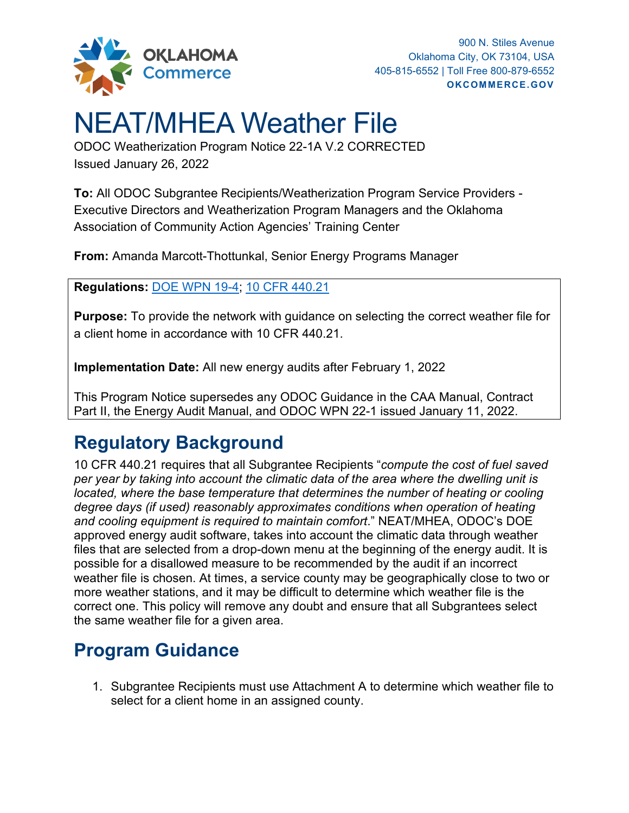

## NEAT/MHEA Weather File

ODOC Weatherization Program Notice 22-1A V.2 CORRECTED Issued January 26, 2022

**To:** All ODOC Subgrantee Recipients/Weatherization Program Service Providers - Executive Directors and Weatherization Program Managers and the Oklahoma Association of Community Action Agencies' Training Center

**From:** Amanda Marcott-Thottunkal, Senior Energy Programs Manager

**Regulations:** [DOE WPN 19-4;](https://www.energy.gov/sites/default/files/2019/05/f62/WPN-19-4-Revised-EA_0517.pdf) [10 CFR 440.21](https://www.ecfr.gov/current/title-10/part-440)

**Purpose:** To provide the network with guidance on selecting the correct weather file for a client home in accordance with 10 CFR 440.21.

**Implementation Date:** All new energy audits after February 1, 2022

This Program Notice supersedes any ODOC Guidance in the CAA Manual, Contract Part II, the Energy Audit Manual, and ODOC WPN 22-1 issued January 11, 2022.

## **Regulatory Background**

10 CFR 440.21 requires that all Subgrantee Recipients "*compute the cost of fuel saved per year by taking into account the climatic data of the area where the dwelling unit is located, where the base temperature that determines the number of heating or cooling degree days (if used) reasonably approximates conditions when operation of heating and cooling equipment is required to maintain comfort*." NEAT/MHEA, ODOC's DOE approved energy audit software, takes into account the climatic data through weather files that are selected from a drop-down menu at the beginning of the energy audit. It is possible for a disallowed measure to be recommended by the audit if an incorrect weather file is chosen. At times, a service county may be geographically close to two or more weather stations, and it may be difficult to determine which weather file is the correct one. This policy will remove any doubt and ensure that all Subgrantees select the same weather file for a given area.

## **Program Guidance**

1. Subgrantee Recipients must use Attachment A to determine which weather file to select for a client home in an assigned county.